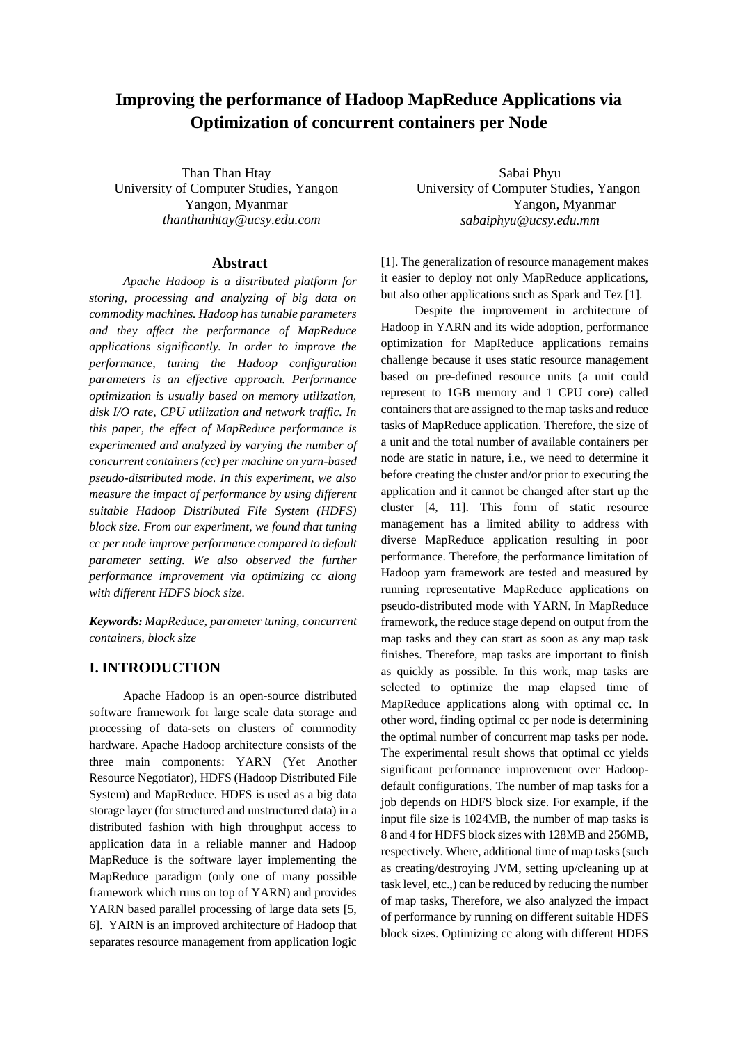# **Improving the performance of Hadoop MapReduce Applications via Optimization of concurrent containers per Node**

Than Than Htay University of Computer Studies, Yangon Yangon, Myanmar *thanthanhtay@ucsy.edu.com*

#### **Abstract**

*Apache Hadoop is a distributed platform for storing, processing and analyzing of big data on commodity machines. Hadoop has tunable parameters and they affect the performance of MapReduce applications significantly. In order to improve the performance, tuning the Hadoop configuration parameters is an effective approach. Performance optimization is usually based on memory utilization, disk I/O rate, CPU utilization and network traffic. In this paper, the effect of MapReduce performance is experimented and analyzed by varying the number of concurrent containers (cc) per machine on yarn-based pseudo-distributed mode. In this experiment, we also measure the impact of performance by using different suitable Hadoop Distributed File System (HDFS) block size. From our experiment, we found that tuning cc per node improve performance compared to default parameter setting. We also observed the further performance improvement via optimizing cc along with different HDFS block size.*

*Keywords: MapReduce, parameter tuning, concurrent containers, block size*

## **I. INTRODUCTION**

Apache Hadoop is an open-source distributed software framework for large scale data storage and processing of data-sets on clusters of commodity hardware. Apache Hadoop architecture consists of the three main components: YARN (Yet Another Resource Negotiator), HDFS (Hadoop Distributed File System) and MapReduce. HDFS is used as a big data storage layer (for structured and unstructured data) in a distributed fashion with high throughput access to application data in a reliable manner and Hadoop MapReduce is the software layer implementing the MapReduce paradigm (only one of many possible framework which runs on top of YARN) and provides YARN based parallel processing of large data sets [5, 6]. YARN is an improved architecture of Hadoop that separates resource management from application logic

Sabai Phyu University of Computer Studies, Yangon Yangon, Myanmar *sabaiphyu@ucsy.edu.mm*

[1]. The generalization of resource management makes it easier to deploy not only MapReduce applications, but also other applications such as Spark and Tez [1].

Despite the improvement in architecture of Hadoop in YARN and its wide adoption, performance optimization for MapReduce applications remains challenge because it uses static resource management based on pre-defined resource units (a unit could represent to 1GB memory and 1 CPU core) called containers that are assigned to the map tasks and reduce tasks of MapReduce application. Therefore, the size of a unit and the total number of available containers per node are static in nature, i.e., we need to determine it before creating the cluster and/or prior to executing the application and it cannot be changed after start up the cluster [4, 11]. This form of static resource management has a limited ability to address with diverse MapReduce application resulting in poor performance. Therefore, the performance limitation of Hadoop yarn framework are tested and measured by running representative MapReduce applications on pseudo-distributed mode with YARN. In MapReduce framework, the reduce stage depend on output from the map tasks and they can start as soon as any map task finishes. Therefore, map tasks are important to finish as quickly as possible. In this work, map tasks are selected to optimize the map elapsed time of MapReduce applications along with optimal cc. In other word, finding optimal cc per node is determining the optimal number of concurrent map tasks per node. The experimental result shows that optimal cc yields significant performance improvement over Hadoopdefault configurations. The number of map tasks for a job depends on HDFS block size. For example, if the input file size is 1024MB, the number of map tasks is 8 and 4 for HDFS block sizes with 128MB and 256MB, respectively. Where, additional time of map tasks (such as creating/destroying JVM, setting up/cleaning up at task level, etc.,) can be reduced by reducing the number of map tasks, Therefore, we also analyzed the impact of performance by running on different suitable HDFS block sizes. Optimizing cc along with different HDFS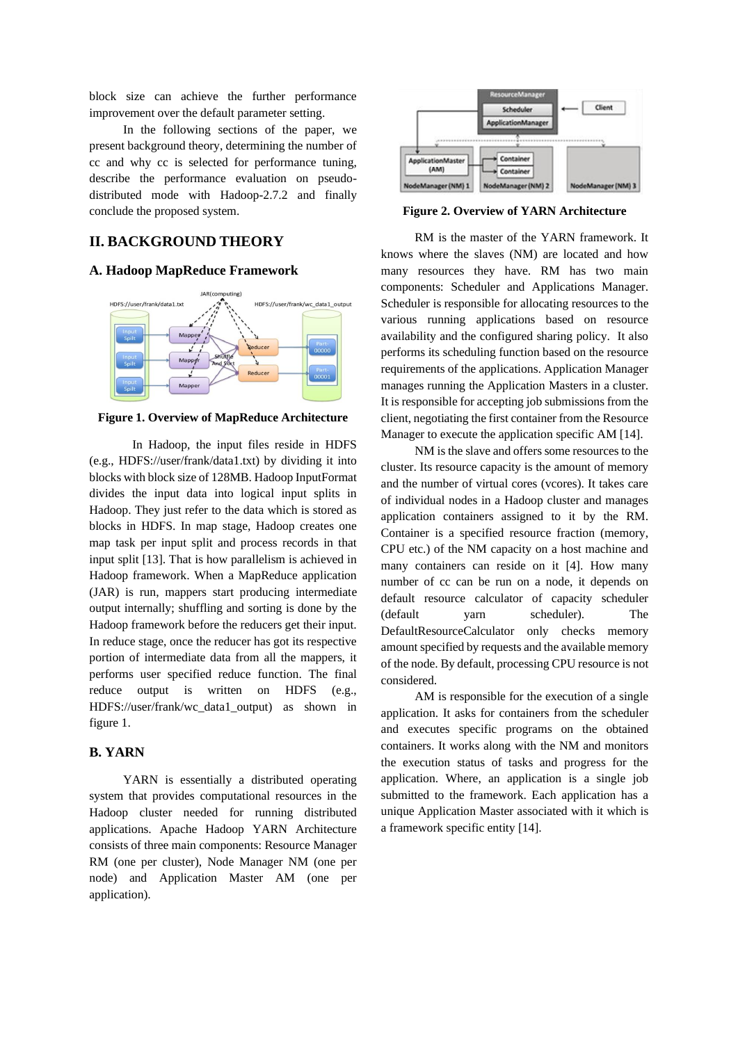block size can achieve the further performance improvement over the default parameter setting.

In the following sections of the paper, we present background theory, determining the number of cc and why cc is selected for performance tuning, describe the performance evaluation on pseudodistributed mode with Hadoop-2.7.2 and finally conclude the proposed system.

# **II. BACKGROUND THEORY**

#### **A. Hadoop MapReduce Framework**



**Figure 1. Overview of MapReduce Architecture**

 In Hadoop, the input files reside in HDFS (e.g., HDFS://user/frank/data1.txt) by dividing it into blocks with block size of 128MB. Hadoop InputFormat divides the input data into logical input splits in Hadoop. They just refer to the data which is stored as blocks in HDFS. In map stage, Hadoop creates one map task per input split and process records in that input split [13]. That is how parallelism is achieved in Hadoop framework. When a MapReduce application (JAR) is run, mappers start producing intermediate output internally; shuffling and sorting is done by the Hadoop framework before the reducers get their input. In reduce stage, once the reducer has got its respective portion of intermediate data from all the mappers, it performs user specified reduce function. The final reduce output is written on HDFS (e.g., HDFS://user/frank/wc\_data1\_output) as shown in figure 1.

## **B. YARN**

YARN is essentially a distributed operating system that provides computational resources in the Hadoop cluster needed for running distributed applications. Apache Hadoop YARN Architecture consists of three main components: Resource Manager RM (one per cluster), Node Manager NM (one per node) and Application Master AM (one per application).



**Figure 2. Overview of YARN Architecture**

RM is the master of the YARN framework. It knows where the slaves (NM) are located and how many resources they have. RM has two main components: Scheduler and Applications Manager. Scheduler is responsible for allocating resources to the various running applications based on resource availability and the configured sharing policy. It also performs its scheduling function based on the resource requirements of the applications. Application Manager manages running the Application Masters in a cluster. It is responsible for accepting job submissions from the client, negotiating the first container from the Resource Manager to execute the application specific AM [14].

NM is the slave and offers some resources to the cluster. Its resource capacity is the amount of memory and the number of virtual cores (vcores). It takes care of individual nodes in a Hadoop cluster and manages application containers assigned to it by the RM. Container is a specified resource fraction (memory, CPU etc.) of the NM capacity on a host machine and many containers can reside on it [4]. How many number of cc can be run on a node, it depends on default resource calculator of capacity scheduler (default yarn scheduler). The DefaultResourceCalculator only checks memory amount specified by requests and the available memory of the node. By default, processing CPU resource is not considered.

AM is responsible for the execution of a single application. It asks for containers from the scheduler and executes specific programs on the obtained containers. It works along with the NM and monitors the execution status of tasks and progress for the application. Where, an application is a single job submitted to the framework. Each application has a unique Application Master associated with it which is a framework specific entity [14].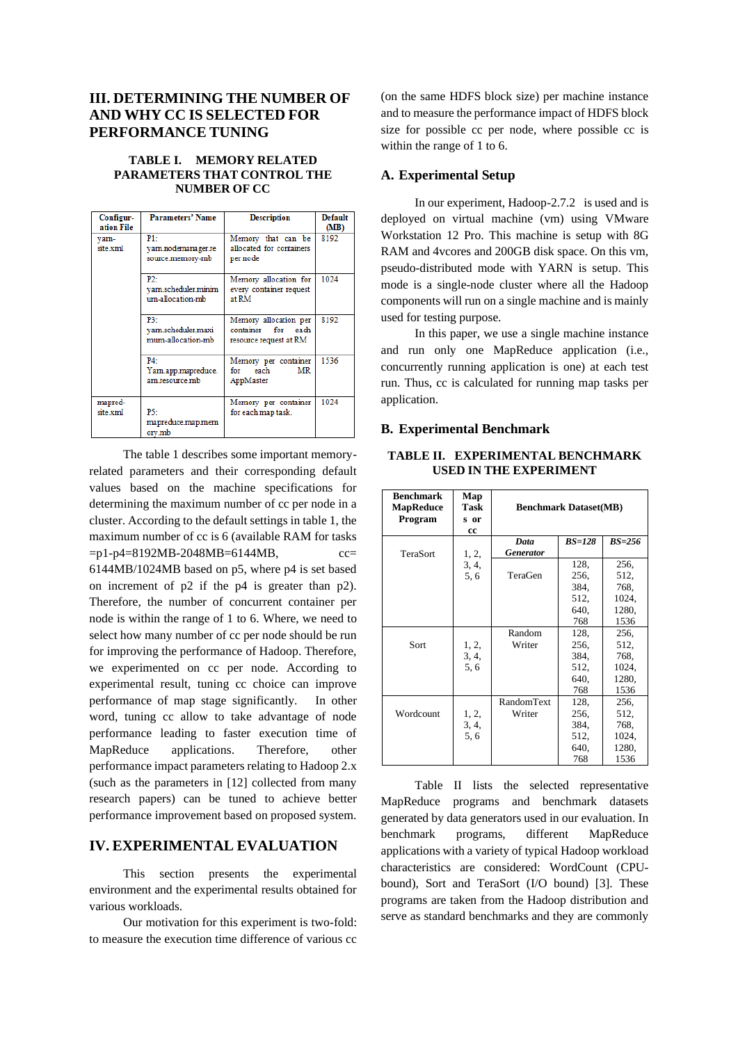# **III. DETERMINING THE NUMBER OF AND WHY CC IS SELECTED FOR PERFORMANCE TUNING**

#### **TABLE I. MEMORY RELATED PARAMETERS THAT CONTROL THE NUMBER OF CC**

| Configur-<br>ation File | <b>Parameters' Name</b>                           | <b>Description</b>                                                       | <b>Default</b><br>(MB) |
|-------------------------|---------------------------------------------------|--------------------------------------------------------------------------|------------------------|
| vam-<br>site.xml        | P1:<br>yam.nodemanager.re<br>source.memory-mb     | Memory that can be<br>allocated for containers<br>per node               | 8192                   |
|                         | $P2 -$<br>vam.scheduler.minim<br>um-allocation-mb | Memory allocation for<br>every container request<br>at RM                | 1024                   |
|                         | P3-<br>yam.scheduler.maxi<br>mum-allocation-mb    | Memory allocation per<br>for each<br>container<br>resource request at RM | 8192                   |
|                         | $PA -$<br>Yam.app.mapreduce.<br>am resource mb    | Memory per container<br>each<br>MR<br>for<br>AppMaster                   | 1536                   |
| mapred-<br>site xml     | P5:<br>mapreduce.map.mem<br>ory.mb                | Memory per container<br>for each map task.                               | 1024                   |

The table 1 describes some important memoryrelated parameters and their corresponding default values based on the machine specifications for determining the maximum number of cc per node in a cluster. According to the default settings in table 1, the maximum number of cc is 6 (available RAM for tasks =p1-p4=8192MB-2048MB=6144MB, cc= 6144MB/1024MB based on p5, where p4 is set based on increment of p2 if the p4 is greater than p2). Therefore, the number of concurrent container per node is within the range of 1 to 6. Where, we need to select how many number of cc per node should be run for improving the performance of Hadoop. Therefore, we experimented on cc per node. According to experimental result, tuning cc choice can improve performance of map stage significantly. In other word, tuning cc allow to take advantage of node performance leading to faster execution time of MapReduce applications. Therefore, other performance impact parameters relating to Hadoop 2.x (such as the parameters in [12] collected from many research papers) can be tuned to achieve better performance improvement based on proposed system.

# **IV. EXPERIMENTAL EVALUATION**

This section presents the experimental environment and the experimental results obtained for various workloads.

Our motivation for this experiment is two-fold: to measure the execution time difference of various cc

(on the same HDFS block size) per machine instance and to measure the performance impact of HDFS block size for possible cc per node, where possible cc is within the range of 1 to 6.

## **A. Experimental Setup**

In our experiment, Hadoop-2.7.2 is used and is deployed on virtual machine (vm) using VMware Workstation 12 Pro. This machine is setup with 8G RAM and 4vcores and 200GB disk space. On this vm, pseudo-distributed mode with YARN is setup. This mode is a single-node cluster where all the Hadoop components will run on a single machine and is mainly used for testing purpose.

In this paper, we use a single machine instance and run only one MapReduce application (i.e., concurrently running application is one) at each test run. Thus, cc is calculated for running map tasks per application.

#### **B. Experimental Benchmark**

#### **TABLE II. EXPERIMENTAL BENCHMARK USED IN THE EXPERIMENT**

| <b>Benchmark</b><br><b>MapReduce</b><br>Program | Map<br><b>Task</b><br>s or<br>cc | <b>Benchmark Dataset(MB)</b> |                              |                               |
|-------------------------------------------------|----------------------------------|------------------------------|------------------------------|-------------------------------|
| TeraSort                                        | 1, 2,                            | Data<br><b>Generator</b>     | $BS=128$                     | $BS=256$                      |
|                                                 | 3, 4,<br>5.6                     | TeraGen                      | 128,<br>256,                 | 256.<br>512,                  |
|                                                 |                                  |                              | 384,<br>512,                 | 768.<br>1024,                 |
|                                                 |                                  |                              | 640,<br>768                  | 1280,<br>1536                 |
| Sort                                            | 1, 2,<br>3, 4,<br>5.6            | Random<br>Writer             | 128,<br>256,<br>384,<br>512, | 256,<br>512.<br>768.<br>1024, |
|                                                 |                                  |                              | 640,<br>768                  | 1280,<br>1536                 |
| Wordcount                                       | 1, 2,<br>3, 4,                   | <b>RandomText</b><br>Writer  | 128,<br>256,<br>384,         | 256,<br>512,<br>768.          |
|                                                 | 5.6                              |                              | 512,<br>640,<br>768          | 1024,<br>1280,<br>1536        |

Table II lists the selected representative MapReduce programs and benchmark datasets generated by data generators used in our evaluation. In benchmark programs, different MapReduce applications with a variety of typical Hadoop workload characteristics are considered: WordCount (CPUbound), Sort and TeraSort (I/O bound) [3]. These programs are taken from the Hadoop distribution and serve as standard benchmarks and they are commonly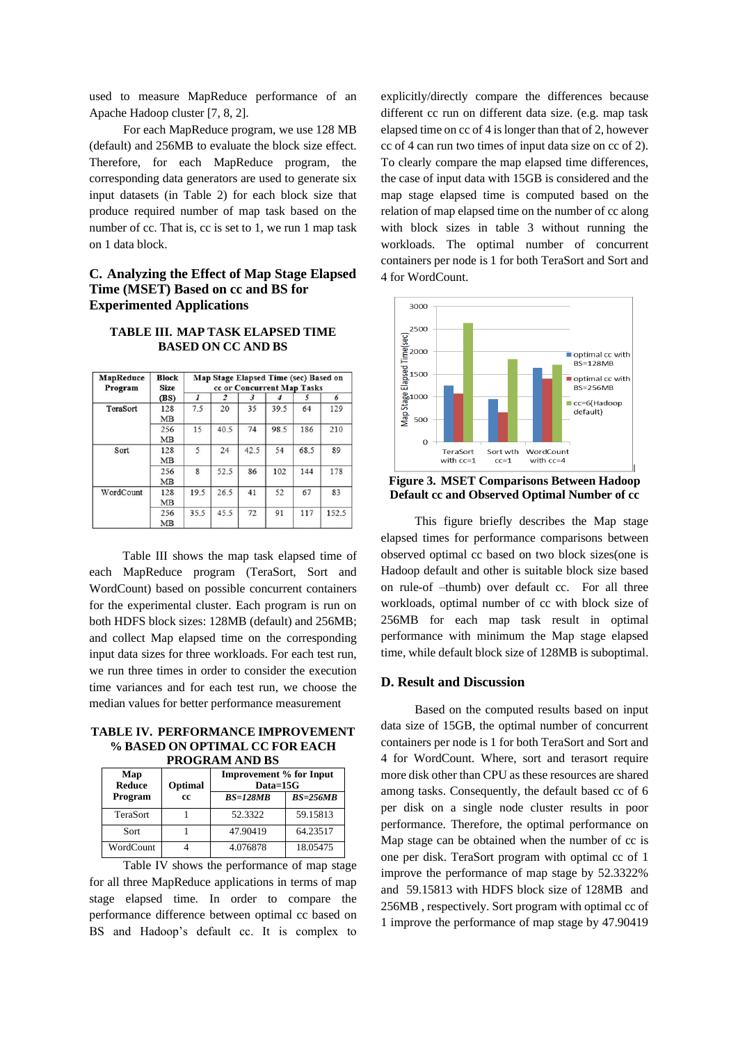used to measure MapReduce performance of an Apache Hadoop cluster [7, 8, 2].

For each MapReduce program, we use 128 MB (default) and 256MB to evaluate the block size effect. Therefore, for each MapReduce program, the corresponding data generators are used to generate six input datasets (in Table 2) for each block size that produce required number of map task based on the number of cc. That is, cc is set to 1, we run 1 map task on 1 data block.

#### **C. Analyzing the Effect of Map Stage Elapsed Time (MSET) Based on cc and BS for Experimented Applications**

## **TABLE III. MAP TASK ELAPSED TIME BASED ON CC AND BS**

| <b>MapReduce</b><br>Program | <b>Block</b><br>Size | Map Stage Elapsed Time (sec) Based on<br>cc or Concurrent Map Tasks |      |      |      |      |       |
|-----------------------------|----------------------|---------------------------------------------------------------------|------|------|------|------|-------|
|                             | (BS)                 | 1                                                                   | 2    | 3    |      | 5    | 6     |
| TeraSort                    | 128<br><b>MB</b>     | 7.5                                                                 | 20   | 35   | 39.5 | 64   | 129   |
|                             | 256<br><b>MB</b>     | 15                                                                  | 40.5 | 74   | 98.5 | 186  | 210   |
| Sort                        | 128<br><b>MB</b>     | 5                                                                   | 24   | 42.5 | 54   | 68.5 | 89    |
|                             | 256<br><b>MB</b>     | 8                                                                   | 52.5 | 86   | 102  | 144  | 178   |
| WordCount                   | 128<br><b>MB</b>     | 19.5                                                                | 26.5 | 41   | 52   | 67   | 83    |
|                             | 256<br><b>MB</b>     | 35.5                                                                | 45.5 | 72   | 91   | 117  | 152.5 |

Table III shows the map task elapsed time of each MapReduce program (TeraSort, Sort and WordCount) based on possible concurrent containers for the experimental cluster. Each program is run on both HDFS block sizes: 128MB (default) and 256MB; and collect Map elapsed time on the corresponding input data sizes for three workloads. For each test run, we run three times in order to consider the execution time variances and for each test run, we choose the median values for better performance measurement

**TABLE IV. PERFORMANCE IMPROVEMENT % BASED ON OPTIMAL CC FOR EACH PROGRAM AND BS**

| 1 KV 9 KEBRATAN 19 DI |         |                                              |            |  |
|-----------------------|---------|----------------------------------------------|------------|--|
| Map<br><b>Reduce</b>  | Optimal | <b>Improvement % for Input</b><br>$Data=15G$ |            |  |
| Program               | cc      | $BS=128MB$                                   | $BS=256MB$ |  |
| TeraSort              |         | 52.3322                                      | 59.15813   |  |
| Sort                  |         | 47.90419                                     | 64.23517   |  |
| WordCount             |         | 4.076878                                     | 18.05475   |  |

Table IV shows the performance of map stage for all three MapReduce applications in terms of map stage elapsed time. In order to compare the performance difference between optimal cc based on BS and Hadoop's default cc. It is complex to

explicitly/directly compare the differences because different cc run on different data size. (e.g. map task elapsed time on cc of 4 is longer than that of 2, however cc of 4 can run two times of input data size on cc of 2). To clearly compare the map elapsed time differences, the case of input data with 15GB is considered and the map stage elapsed time is computed based on the relation of map elapsed time on the number of cc along with block sizes in table 3 without running the workloads. The optimal number of concurrent containers per node is 1 for both TeraSort and Sort and 4 for WordCount.



**Figure 3. MSET Comparisons Between Hadoop Default cc and Observed Optimal Number of cc**

This figure briefly describes the Map stage elapsed times for performance comparisons between observed optimal cc based on two block sizes(one is Hadoop default and other is suitable block size based on rule-of –thumb) over default cc. For all three workloads, optimal number of cc with block size of 256MB for each map task result in optimal performance with minimum the Map stage elapsed time, while default block size of 128MB is suboptimal.

### **D. Result and Discussion**

Based on the computed results based on input data size of 15GB, the optimal number of concurrent containers per node is 1 for both TeraSort and Sort and 4 for WordCount. Where, sort and terasort require more disk other than CPU as these resources are shared among tasks. Consequently, the default based cc of 6 per disk on a single node cluster results in poor performance. Therefore, the optimal performance on Map stage can be obtained when the number of cc is one per disk. TeraSort program with optimal cc of 1 improve the performance of map stage by 52.3322% and 59.15813 with HDFS block size of 128MB and 256MB , respectively. Sort program with optimal cc of 1 improve the performance of map stage by 47.90419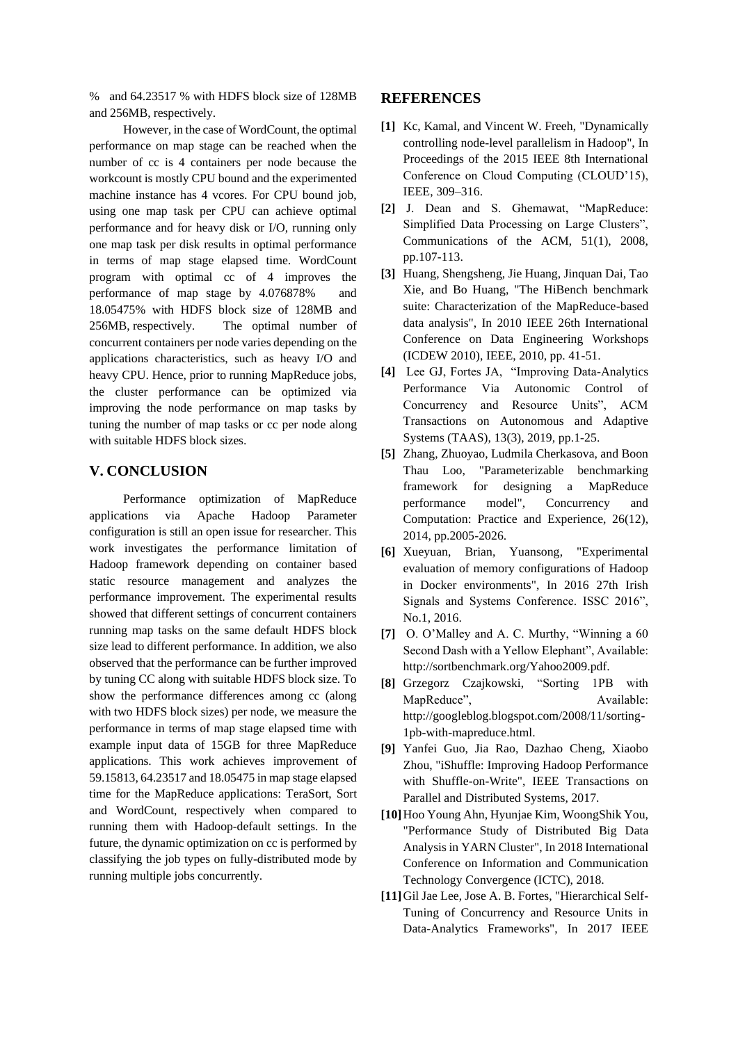% and 64.23517 % with HDFS block size of 128MB and 256MB, respectively.

However, in the case of WordCount, the optimal performance on map stage can be reached when the number of cc is 4 containers per node because the workcount is mostly CPU bound and the experimented machine instance has 4 vcores. For CPU bound job, using one map task per CPU can achieve optimal performance and for heavy disk or I/O, running only one map task per disk results in optimal performance in terms of map stage elapsed time. WordCount program with optimal cc of 4 improves the performance of map stage by 4.076878% and 18.05475% with HDFS block size of 128MB and 256MB, respectively. The optimal number of concurrent containers per node varies depending on the applications characteristics, such as heavy I/O and heavy CPU. Hence, prior to running MapReduce jobs, the cluster performance can be optimized via improving the node performance on map tasks by tuning the number of map tasks or cc per node along with suitable HDFS block sizes.

# **V. CONCLUSION**

Performance optimization of MapReduce applications via Apache Hadoop Parameter configuration is still an open issue for researcher. This work investigates the performance limitation of Hadoop framework depending on container based static resource management and analyzes the performance improvement. The experimental results showed that different settings of concurrent containers running map tasks on the same default HDFS block size lead to different performance. In addition, we also observed that the performance can be further improved by tuning CC along with suitable HDFS block size. To show the performance differences among cc (along with two HDFS block sizes) per node, we measure the performance in terms of map stage elapsed time with example input data of 15GB for three MapReduce applications. This work achieves improvement of 59.15813, 64.23517 and 18.05475 in map stage elapsed time for the MapReduce applications: TeraSort, Sort and WordCount, respectively when compared to running them with Hadoop-default settings. In the future, the dynamic optimization on cc is performed by classifying the job types on fully-distributed mode by running multiple jobs concurrently.

#### **REFERENCES**

- **[1]** Kc, Kamal, and Vincent W. Freeh, "Dynamically controlling node-level parallelism in Hadoop", In Proceedings of the 2015 IEEE 8th International Conference on Cloud Computing (CLOUD'15), IEEE, 309–316.
- **[2]** J. Dean and S. Ghemawat, "MapReduce: Simplified Data Processing on Large Clusters", Communications of the ACM, 51(1), 2008, pp.107-113.
- **[3]** Huang, Shengsheng, Jie Huang, Jinquan Dai, Tao Xie, and Bo Huang, "The HiBench benchmark suite: Characterization of the MapReduce-based data analysis", In 2010 IEEE 26th International Conference on Data Engineering Workshops (ICDEW 2010), IEEE, 2010, pp. 41-51.
- **[4]** Lee GJ, Fortes JA, "Improving Data-Analytics Performance Via Autonomic Control of Concurrency and Resource Units", ACM Transactions on Autonomous and Adaptive Systems (TAAS), 13(3), 2019, pp.1-25.
- **[5]** Zhang, Zhuoyao, Ludmila Cherkasova, and Boon Thau Loo, "Parameterizable benchmarking framework for designing a MapReduce performance model", Concurrency and Computation: Practice and Experience, 26(12), 2014, pp.2005-2026.
- **[6]** Xueyuan, Brian, Yuansong, "Experimental evaluation of memory configurations of Hadoop in Docker environments", In 2016 27th Irish Signals and Systems Conference. ISSC 2016", No.1, 2016.
- **[7]** O. O'Malley and A. C. Murthy, "Winning a 60 Second Dash with a Yellow Elephant", Available: http://sortbenchmark.org/Yahoo2009.pdf.
- **[8]** Grzegorz Czajkowski, "Sorting 1PB with MapReduce", Available: http://googleblog.blogspot.com/2008/11/sorting-1pb-with-mapreduce.html.
- **[9]** Yanfei Guo, Jia Rao, Dazhao Cheng, Xiaobo Zhou, "iShuffle: Improving Hadoop Performance with Shuffle-on-Write", IEEE Transactions on Parallel and Distributed Systems, 2017.
- **[10]**Hoo Young Ahn, Hyunjae Kim, WoongShik You, "Performance Study of Distributed Big Data Analysis in YARN Cluster", In 2018 International Conference on Information and Communication Technology Convergence (ICTC), 2018.
- **[11]**Gil Jae Lee, Jose A. B. Fortes, "Hierarchical Self-Tuning of Concurrency and Resource Units in Data-Analytics Frameworks", In 2017 IEEE